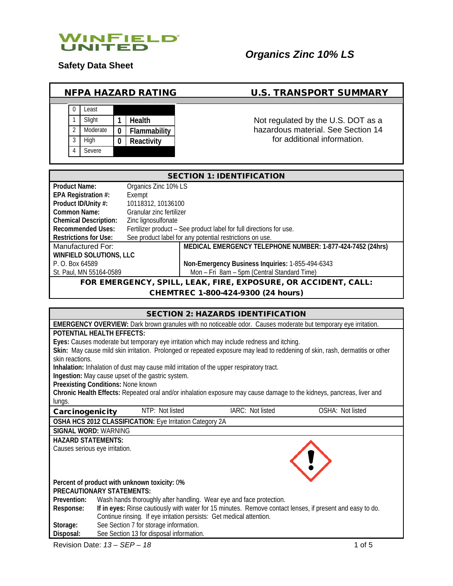

**Safety Data Sheet**

| <b>NFPA HAZARD RATING</b> |          |  |              | <b>U.S. TRANSPORT SUMMARY</b>      |
|---------------------------|----------|--|--------------|------------------------------------|
|                           | Least    |  |              |                                    |
|                           | Slight   |  | Health       | Not regulated by the U.S. DOT as a |
|                           | Moderate |  | Flammability | hazardous material. See Section 14 |
| 3                         | High     |  | Reactivity   | for additional information.        |
|                           | Severe   |  |              |                                    |
|                           |          |  |              |                                    |

| <b>SECTION 1: IDENTIFICATION</b> |                                                                |                                                                     |  |
|----------------------------------|----------------------------------------------------------------|---------------------------------------------------------------------|--|
| <b>Product Name:</b>             | Organics Zinc 10% LS                                           |                                                                     |  |
| EPA Registration #:              | Exempt                                                         |                                                                     |  |
| Product ID/Unity #:              | 10118312, 10136100                                             |                                                                     |  |
| Common Name:                     | Granular zinc fertilizer                                       |                                                                     |  |
| <b>Chemical Description:</b>     | Zinc lignosulfonate                                            |                                                                     |  |
| <b>Recommended Uses:</b>         |                                                                | Fertilizer product - See product label for full directions for use. |  |
| <b>Restrictions for Use:</b>     |                                                                | See product label for any potential restrictions on use.            |  |
| Manufactured For:                |                                                                | MEDICAL EMERGENCY TELEPHONE NUMBER: 1-877-424-7452 (24hrs)          |  |
| WINFIELD SOLUTIONS, LLC          |                                                                |                                                                     |  |
| P. O. Box 64589                  |                                                                | Non-Emergency Business Inquiries: 1-855-494-6343                    |  |
| St. Paul, MN 55164-0589          |                                                                | Mon - Fri 8am - 5pm (Central Standard Time)                         |  |
|                                  | FOR EMERGENCY, SPILL, LEAK, FIRE, EXPOSURE, OR ACCIDENT, CALL: |                                                                     |  |

CHEMTREC 1-800-424-9300 (24 hours)

|                                              |                                                                                                                               | <b>SECTION 2: HAZARDS IDENTIFICATION</b> |                  |  |  |
|----------------------------------------------|-------------------------------------------------------------------------------------------------------------------------------|------------------------------------------|------------------|--|--|
|                                              | EMERGENCY OVERVIEW: Dark brown granules with no noticeable odor. Causes moderate but temporary eye irritation.                |                                          |                  |  |  |
|                                              | POTENTIAL HEALTH FEFECTS:                                                                                                     |                                          |                  |  |  |
|                                              | Eyes: Causes moderate but temporary eye irritation which may include redness and itching.                                     |                                          |                  |  |  |
|                                              | Skin: May cause mild skin irritation. Prolonged or repeated exposure may lead to reddening of skin, rash, dermatitis or other |                                          |                  |  |  |
| skin reactions.                              |                                                                                                                               |                                          |                  |  |  |
|                                              | Inhalation: Inhalation of dust may cause mild irritation of the upper respiratory tract.                                      |                                          |                  |  |  |
|                                              | Ingestion: May cause upset of the gastric system.                                                                             |                                          |                  |  |  |
|                                              | Preexisting Conditions: None known                                                                                            |                                          |                  |  |  |
|                                              | Chronic Health Effects: Repeated oral and/or inhalation exposure may cause damage to the kidneys, pancreas, liver and         |                                          |                  |  |  |
| lungs.                                       |                                                                                                                               |                                          |                  |  |  |
| Carcinogenicity                              | NTP: Not listed                                                                                                               | IARC: Not listed                         | OSHA: Not listed |  |  |
|                                              | OSHA HCS 2012 CLASSIFICATION: Eye Irritation Category 2A                                                                      |                                          |                  |  |  |
| <b>SIGNAL WORD: WARNING</b>                  |                                                                                                                               |                                          |                  |  |  |
| <b>HAZARD STATEMENTS:</b>                    |                                                                                                                               |                                          |                  |  |  |
| Causes serious eye irritation.               |                                                                                                                               |                                          |                  |  |  |
|                                              |                                                                                                                               |                                          |                  |  |  |
|                                              |                                                                                                                               |                                          |                  |  |  |
|                                              |                                                                                                                               |                                          |                  |  |  |
| Percent of product with unknown toxicity: 0% |                                                                                                                               |                                          |                  |  |  |
|                                              | PRECAUTIONARY STATEMENTS:                                                                                                     |                                          |                  |  |  |
| Prevention:                                  | Wash hands thoroughly after handling. Wear eye and face protection.                                                           |                                          |                  |  |  |
| Response:                                    | If in eyes: Rinse cautiously with water for 15 minutes. Remove contact lenses, if present and easy to do.                     |                                          |                  |  |  |
|                                              | Continue rinsing. If eye irritation persists: Get medical attention.                                                          |                                          |                  |  |  |
| Storage:                                     | See Section 7 for storage information.                                                                                        |                                          |                  |  |  |
| Disposal:                                    | See Section 13 for disposal information.                                                                                      |                                          |                  |  |  |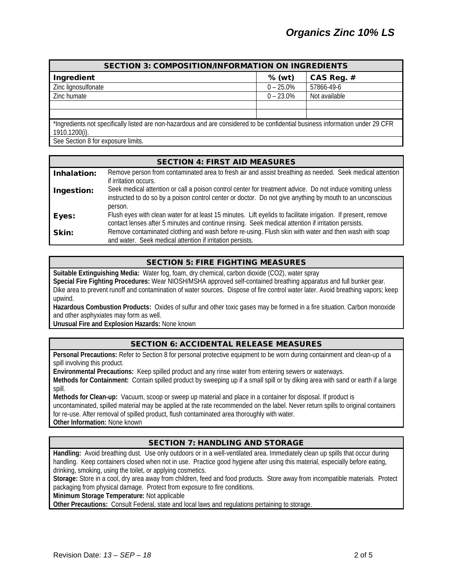| <b>SECTION 3: COMPOSITION/INFORMATION ON INGREDIENTS</b>                                                                                        |              |               |  |
|-------------------------------------------------------------------------------------------------------------------------------------------------|--------------|---------------|--|
| Ingredient                                                                                                                                      | % (wt)       | CAS Reg. $#$  |  |
| Zinc lignosulfonate                                                                                                                             | $0 - 25.0%$  | 57866-49-6    |  |
| Zinc humate                                                                                                                                     | $0 - 23.0\%$ | Not available |  |
|                                                                                                                                                 |              |               |  |
|                                                                                                                                                 |              |               |  |
| *Ingredients not specifically listed are non-hazardous and are considered to be confidential business information under 29 CFR<br>1910.1200(i). |              |               |  |

See Section 8 for exposure limits.

| <b>SECTION 4: FIRST AID MEASURES</b> |                                                                                                                                                                                                                                    |  |  |  |
|--------------------------------------|------------------------------------------------------------------------------------------------------------------------------------------------------------------------------------------------------------------------------------|--|--|--|
| Inhalation:                          | Remove person from contaminated area to fresh air and assist breathing as needed. Seek medical attention<br>if irritation occurs.                                                                                                  |  |  |  |
| Ingestion:                           | Seek medical attention or call a poison control center for treatment advice. Do not induce vomiting unless<br>instructed to do so by a poison control center or doctor. Do not give anything by mouth to an unconscious<br>person. |  |  |  |
| Eyes:                                | Flush eyes with clean water for at least 15 minutes. Lift eyelids to facilitate irrigation. If present, remove<br>contact lenses after 5 minutes and continue rinsing. Seek medical attention if irritation persists.              |  |  |  |
| Skin:                                | Remove contaminated clothing and wash before re-using. Flush skin with water and then wash with soap<br>and water. Seek medical attention if irritation persists.                                                                  |  |  |  |

## SECTION 5: FIRE FIGHTING MEASURES

**Suitable Extinguishing Media:** Water fog, foam, dry chemical, carbon dioxide (CO2), water spray **Special Fire Fighting Procedures:** Wear NIOSH/MSHA approved self-contained breathing apparatus and full bunker gear. Dike area to prevent runoff and contamination of water sources. Dispose of fire control water later. Avoid breathing vapors; keep upwind.

**Hazardous Combustion Products:** Oxides of sulfur and other toxic gases may be formed in a fire situation. Carbon monoxide and other asphyxiates may form as well.

**Unusual Fire and Explosion Hazards:** None known

# SECTION 6: ACCIDENTAL RELEASE MEASURES

**Personal Precautions:** Refer to Section 8 for personal protective equipment to be worn during containment and clean-up of a spill involving this product.

**Environmental Precautions:** Keep spilled product and any rinse water from entering sewers or waterways.

**Methods for Containment:** Contain spilled product by sweeping up if a small spill or by diking area with sand or earth if a large spill.

**Methods for Clean-up:** Vacuum, scoop or sweep up material and place in a container for disposal. If product is uncontaminated, spilled material may be applied at the rate recommended on the label. Never return spills to original containers for re-use. After removal of spilled product, flush contaminated area thoroughly with water.

**Other Information:** None known

# SECTION 7: HANDLING AND STORAGE

**Handling:** Avoid breathing dust. Use only outdoors or in a well-ventilated area. Immediately clean up spills that occur during handling. Keep containers closed when not in use. Practice good hygiene after using this material, especially before eating, drinking, smoking, using the toilet, or applying cosmetics.

**Storage:** Store in a cool, dry area away from children, feed and food products. Store away from incompatible materials. Protect packaging from physical damage. Protect from exposure to fire conditions.

**Minimum Storage Temperature:** Not applicable

**Other Precautions:** Consult Federal, state and local laws and regulations pertaining to storage.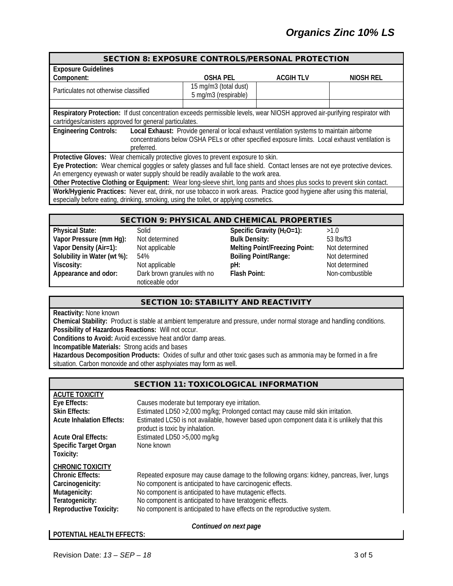| <b>SECTION 8: EXPOSURE CONTROLS/PERSONAL PROTECTION</b>                                                                      |                                               |                 |           |  |
|------------------------------------------------------------------------------------------------------------------------------|-----------------------------------------------|-----------------|-----------|--|
| <b>Exposure Guidelines</b>                                                                                                   |                                               |                 |           |  |
| Component:                                                                                                                   | <b>OSHA PEL</b>                               | <b>ACGIHTLV</b> | NIOSH REL |  |
| Particulates not otherwise classified                                                                                        | 15 mg/m3 (total dust)<br>5 mg/m3 (respirable) |                 |           |  |
|                                                                                                                              |                                               |                 |           |  |
| Respiratory Protection: If dust concentration exceeds permissible levels, wear NIOSH approved air-purifying respirator with  |                                               |                 |           |  |
| cartridges/canisters approved for general particulates.                                                                      |                                               |                 |           |  |
| <b>Engineering Controls:</b><br>Local Exhaust: Provide general or local exhaust ventilation systems to maintain airborne     |                                               |                 |           |  |
| concentrations below OSHA PELs or other specified exposure limits. Local exhaust ventilation is                              |                                               |                 |           |  |
| preferred.                                                                                                                   |                                               |                 |           |  |
| Protective Gloves: Wear chemically protective gloves to prevent exposure to skin.                                            |                                               |                 |           |  |
| Eye Protection: Wear chemical goggles or safety glasses and full face shield. Contact lenses are not eye protective devices. |                                               |                 |           |  |
| An emergency eyewash or water supply should be readily available to the work area.                                           |                                               |                 |           |  |
| Other Protective Clothing or Equipment: Wear long-sleeve shirt, long pants and shoes plus socks to prevent skin contact.     |                                               |                 |           |  |
| Work/Hygienic Practices: Never eat, drink, nor use tobacco in work areas. Practice good hygiene after using this material,   |                                               |                 |           |  |
| especially before eating, drinking, smoking, using the toilet, or applying cosmetics.                                        |                                               |                 |           |  |
|                                                                                                                              |                                               |                 |           |  |
| <b>SECTION 9: PHYSICAL AND CHEMICAL PROPERTIES</b>                                                                           |                                               |                 |           |  |

| JEVIIVIV 7. I III JIVAE AND VIIEMIVAE I KVI EKIIEJ |                                                |                                      |                 |
|----------------------------------------------------|------------------------------------------------|--------------------------------------|-----------------|
| <b>Physical State:</b>                             | Solid                                          | Specific Gravity $(H_2O=1)$ :        | >1.0            |
| Vapor Pressure (mm Hg):                            | Not determined                                 | <b>Bulk Density:</b>                 | 53 lbs/ft3      |
| Vapor Density (Air=1):                             | Not applicable                                 | <b>Melting Point/Freezing Point:</b> | Not determined  |
| Solubility in Water (wt %):                        | 54%                                            | <b>Boiling Point/Range:</b>          | Not determined  |
| Viscosity:                                         | Not applicable                                 | pH:                                  | Not determined  |
| Appearance and odor:                               | Dark brown granules with no<br>noticeable odor | <b>Flash Point:</b>                  | Non-combustible |

# SECTION 10: STABILITY AND REACTIVITY

**Reactivity:** None known

**Chemical Stability:** Product is stable at ambient temperature and pressure, under normal storage and handling conditions. **Possibility of Hazardous Reactions:** Will not occur.

**Conditions to Avoid:** Avoid excessive heat and/or damp areas.

**Incompatible Materials:** Strong acids and bases

**Hazardous Decomposition Products:** Oxides of sulfur and other toxic gases such as ammonia may be formed in a fire situation. Carbon monoxide and other asphyxiates may form as well.

|                                                    | <b>SECTION 11: TOXICOLOGICAL INFORMATION</b>                                                                                   |
|----------------------------------------------------|--------------------------------------------------------------------------------------------------------------------------------|
| <b>ACUTE TOXICITY</b>                              |                                                                                                                                |
| Eye Effects:                                       | Causes moderate but temporary eye irritation.                                                                                  |
| <b>Skin Effects:</b>                               | Estimated LD50 > 2,000 mg/kg; Prolonged contact may cause mild skin irritation.                                                |
| <b>Acute Inhalation Effects:</b>                   | Estimated LC50 is not available, however based upon component data it is unlikely that this<br>product is toxic by inhalation. |
| <b>Acute Oral Effects:</b>                         | Estimated LD50 > 5,000 mg/kg                                                                                                   |
| <b>Specific Target Organ</b>                       | None known                                                                                                                     |
| Toxicity:                                          |                                                                                                                                |
| <b>CHRONIC TOXICITY</b><br><b>Chronic Effects:</b> | Repeated exposure may cause damage to the following organs: kidney, pancreas, liver, lungs                                     |
| Carcinogenicity:                                   | No component is anticipated to have carcinogenic effects.                                                                      |
| Mutagenicity:                                      | No component is anticipated to have mutagenic effects.                                                                         |
| Teratogenicity:                                    | No component is anticipated to have teratogenic effects.                                                                       |
| <b>Reproductive Toxicity:</b>                      | No component is anticipated to have effects on the reproductive system.                                                        |

#### **POTENTIAL HEALTH EFFECTS:**

*Continued on next page*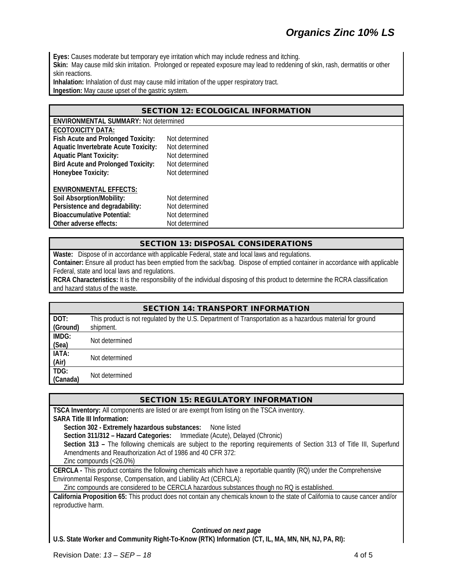**Eyes:** Causes moderate but temporary eye irritation which may include redness and itching.

**Skin:** May cause mild skin irritation. Prolonged or repeated exposure may lead to reddening of skin, rash, dermatitis or other skin reactions.

**Inhalation:** Inhalation of dust may cause mild irritation of the upper respiratory tract.

**Ingestion:** May cause upset of the gastric system.

| <b>SECTION 12: ECOLOGICAL INFORMATION</b>    |                |  |  |
|----------------------------------------------|----------------|--|--|
| <b>ENVIRONMENTAL SUMMARY: Not determined</b> |                |  |  |
| <b>ECOTOXICITY DATA:</b>                     |                |  |  |
| Fish Acute and Prolonged Toxicity:           | Not determined |  |  |
| <b>Aquatic Invertebrate Acute Toxicity:</b>  | Not determined |  |  |
| <b>Aquatic Plant Toxicity:</b>               | Not determined |  |  |
| <b>Bird Acute and Prolonged Toxicity:</b>    | Not determined |  |  |
| Honeybee Toxicity:                           | Not determined |  |  |
| <b>ENVIRONMENTAL EFFECTS:</b>                |                |  |  |
| Soil Absorption/Mobility:                    | Not determined |  |  |
| Persistence and degradability:               | Not determined |  |  |
| <b>Bioaccumulative Potential:</b>            | Not determined |  |  |
| Other adverse effects:                       | Not determined |  |  |

# SECTION 13: DISPOSAL CONSIDERATIONS

**Waste:** Dispose of in accordance with applicable Federal, state and local laws and regulations. **Container:** Ensure all product has been emptied from the sack/bag. Dispose of emptied container in accordance with applicable Federal, state and local laws and regulations.

**RCRA Characteristics:** It is the responsibility of the individual disposing of this product to determine the RCRA classification and hazard status of the waste.

| <b>SECTION 14: TRANSPORT INFORMATION</b> |                                                                                                           |  |  |
|------------------------------------------|-----------------------------------------------------------------------------------------------------------|--|--|
| DOT:                                     | This product is not regulated by the U.S. Department of Transportation as a hazardous material for ground |  |  |
| (Ground)                                 | shipment.                                                                                                 |  |  |
| IMDG:                                    | Not determined                                                                                            |  |  |
| (Sea)                                    |                                                                                                           |  |  |
| IATA:                                    | Not determined                                                                                            |  |  |
| (Air)                                    |                                                                                                           |  |  |
| TDG:<br>(Canada)                         | Not determined                                                                                            |  |  |
|                                          |                                                                                                           |  |  |

#### SECTION 15: REGULATORY INFORMATION

**TSCA Inventory:** All components are listed or are exempt from listing on the TSCA inventory. **SARA Title III Information: Section 302 - Extremely hazardous substances:** None listed **Section 311/312 – Hazard Categories:** Immediate (Acute), Delayed (Chronic) **Section 313 –** The following chemicals are subject to the reporting requirements of Section 313 of Title III, Superfund Amendments and Reauthorization Act of 1986 and 40 CFR 372: Zinc compounds (<26.0%) **CERCLA -** This product contains the following chemicals which have a reportable quantity (RQ) under the Comprehensive Environmental Response, Compensation, and Liability Act (CERCLA):

Zinc compounds are considered to be CERCLA hazardous substances though no RQ is established.

**California Proposition 65:** This product does not contain any chemicals known to the state of California to cause cancer and/or reproductive harm.

*Continued on next page*

**U.S. State Worker and Community Right-To-Know (RTK) Information (CT, IL, MA, MN, NH, NJ, PA, RI):**